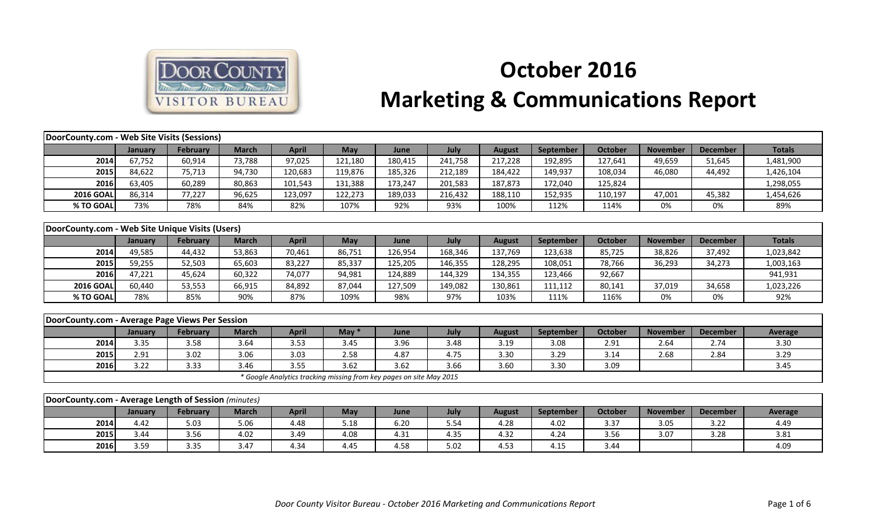

## **October 2016 Marketing & Communications Report**

| <b>DoorCounty.com - Web Site Visits (Sessions)</b>   |         |                 |              |                                                                     |         |         |         |               |           |                |                 |                 |                |
|------------------------------------------------------|---------|-----------------|--------------|---------------------------------------------------------------------|---------|---------|---------|---------------|-----------|----------------|-----------------|-----------------|----------------|
|                                                      | January | <b>February</b> | <b>March</b> | <b>April</b>                                                        | May     | June    | July    | <b>August</b> | September | <b>October</b> | <b>November</b> | <b>December</b> | <b>Totals</b>  |
| 2014                                                 | 67,752  | 60,914          | 73,788       | 97,025                                                              | 121,180 | 180,415 | 241,758 | 217,228       | 192,895   | 127,641        | 49,659          | 51,645          | 1,481,900      |
| 2015                                                 | 84,622  | 75,713          | 94,730       | 120,683                                                             | 119,876 | 185,326 | 212,189 | 184,422       | 149,937   | 108,034        | 46,080          | 44,492          | 1,426,104      |
| 2016                                                 | 63,405  | 60,289          | 80,863       | 101,543                                                             | 131,388 | 173,247 | 201,583 | 187,873       | 172,040   | 125,824        |                 |                 | 1,298,055      |
| <b>2016 GOAL</b>                                     | 86,314  | 77,227          | 96,625       | 123,097                                                             | 122,273 | 189,033 | 216,432 | 188,110       | 152,935   | 110,197        | 47,001          | 45,382          | 1,454,626      |
| % TO GOAL                                            | 73%     | 78%             | 84%          | 82%                                                                 | 107%    | 92%     | 93%     | 100%          | 112%      | 114%           | 0%              | 0%              | 89%            |
|                                                      |         |                 |              |                                                                     |         |         |         |               |           |                |                 |                 |                |
| DoorCounty.com - Web Site Unique Visits (Users)      |         |                 |              |                                                                     |         |         |         |               |           |                |                 |                 |                |
|                                                      | January | February        | <b>March</b> | <b>April</b>                                                        | May     | June    | July    | <b>August</b> | September | <b>October</b> | <b>November</b> | <b>December</b> | <b>Totals</b>  |
| 2014                                                 | 49,585  | 44,432          | 53,863       | 70,461                                                              | 86,751  | 126,954 | 168,346 | 137,769       | 123,638   | 85,725         | 38,826          | 37,492          | 1,023,842      |
| 2015                                                 | 59,255  | 52,503          | 65,603       | 83,227                                                              | 85,337  | 125,205 | 146,355 | 128,295       | 108,051   | 78,766         | 36,293          | 34,273          | 1,003,163      |
| 2016                                                 | 47,221  | 45,624          | 60,322       | 74,077                                                              | 94,981  | 124,889 | 144,329 | 134,355       | 123,466   | 92,667         |                 |                 | 941,931        |
| <b>2016 GOAL</b>                                     | 60,440  | 53,553          | 66,915       | 84,892                                                              | 87,044  | 127,509 | 149,082 | 130,861       | 111,112   | 80,141         | 37,019          | 34,658          | 1,023,226      |
| % TO GOAL                                            | 78%     | 85%             | 90%          | 87%                                                                 | 109%    | 98%     | 97%     | 103%          | 111%      | 116%           | 0%              | 0%              | 92%            |
|                                                      |         |                 |              |                                                                     |         |         |         |               |           |                |                 |                 |                |
| DoorCounty.com - Average Page Views Per Session      |         |                 |              |                                                                     |         |         |         |               |           |                |                 |                 |                |
|                                                      | January | February        | <b>March</b> | <b>April</b>                                                        | May $*$ | June    | July    | <b>August</b> | September | <b>October</b> | <b>November</b> | <b>December</b> | <b>Average</b> |
| 2014                                                 | 3.35    | 3.58            | 3.64         | 3.53                                                                | 3.45    | 3.96    | 3.48    | 3.19          | 3.08      | 2.91           | 2.64            | 2.74            | 3.30           |
| 2015                                                 | 2.91    | 3.02            | 3.06         | 3.03                                                                | 2.58    | 4.87    | 4.75    | 3.30          | 3.29      | 3.14           | 2.68            | 2.84            | 3.29           |
| 2016                                                 | 3.22    | 3.33            | 3.46         | 3.55                                                                | 3.62    | 3.62    | 3.66    | 3.60          | 3.30      | 3.09           |                 |                 | 3.45           |
|                                                      |         |                 |              | * Google Analytics tracking missing from key pages on site May 2015 |         |         |         |               |           |                |                 |                 |                |
|                                                      |         |                 |              |                                                                     |         |         |         |               |           |                |                 |                 |                |
| DoorCounty.com - Average Length of Session (minutes) |         |                 |              |                                                                     |         |         |         |               |           |                |                 |                 |                |
|                                                      | January | February        | <b>March</b> | <b>April</b>                                                        | May     | June    | July    | <b>August</b> | September | <b>October</b> | <b>November</b> | <b>December</b> | <b>Average</b> |
| 2014                                                 | 4.42    | 5.03            | 5.06         | 4.48                                                                | 5.18    | 6.20    | 5.54    | 4.28          | 4.02      | 3.37           | 3.05            | 3.22            | 4.49           |
| 2015                                                 | 3.44    | 3.56            | 4.02         | 3.49                                                                | 4.08    | 4.31    | 4.35    | 4.32          | 4.24      | 3.56           | 3.07            | 3.28            | 3.81           |
| 2016                                                 | 3.59    | 3.35            | 3.47         | 4.34                                                                | 4.45    | 4.58    | 5.02    | 4.53          | 4.15      | 3.44           |                 |                 | 4.09           |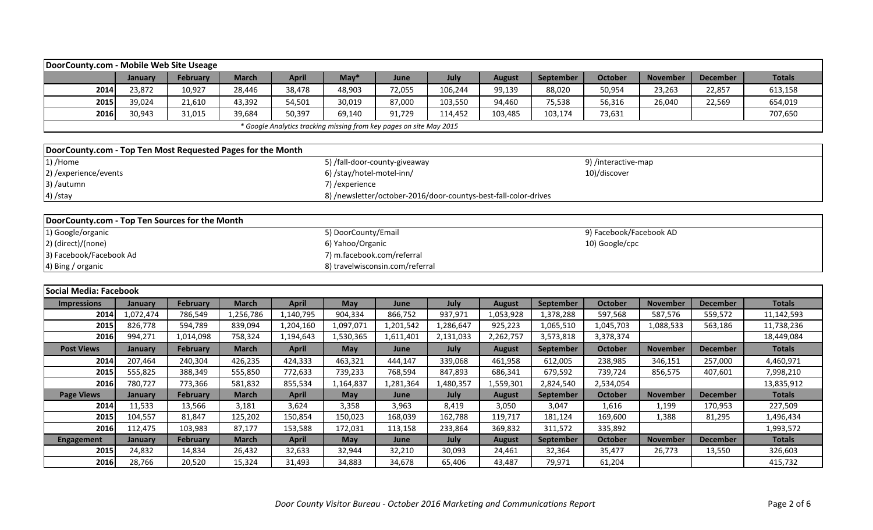| DoorCounty.com - Mobile Web Site Useage                             |         |          |              |        |            |             |         |         |                  |         |                 |                 |               |
|---------------------------------------------------------------------|---------|----------|--------------|--------|------------|-------------|---------|---------|------------------|---------|-----------------|-----------------|---------------|
|                                                                     | Januarv | February | <b>March</b> | April  | $M$ ay $*$ | <b>June</b> | July    | August  | <b>September</b> | October | <b>November</b> | <b>December</b> | <b>Totals</b> |
| 2014                                                                | 23,872  | 10,927   | 28,446       | 38,478 | 48,903     | 72,055      | 106,244 | 99,139  | 88,020           | 50,954  | 23,263          | 22,857          | 613,158       |
| 2015                                                                | 39,024  | 21,610   | 43,392       | 54,501 | 30,019     | 87,000      | 103,550 | 94,460  | 75,538           | 56,316  | 26,040          | 22,569          | 654,019       |
| 2016                                                                | 30,943  | 31,015   | 39,684       | 50,397 | 69,140     | 91,729      | 114,452 | 103,485 | 103,174          | 73,631  |                 |                 | 707,650       |
| * Google Analytics tracking missing from key pages on site May 2015 |         |          |              |        |            |             |         |         |                  |         |                 |                 |               |

| DoorCounty.com - Top Ten Most Requested Pages for the Month |                                                                 |                     |
|-------------------------------------------------------------|-----------------------------------------------------------------|---------------------|
| $1)$ /Home                                                  | 5) /fall-door-county-giveaway                                   | 9) /interactive-map |
| 2) / experience/events                                      | 6) /stay/hotel-motel-inn/                                       | 10)/discover        |
| 3) /autumn                                                  | 7) /experience                                                  |                     |
| 4) /stay                                                    | 8) /newsletter/october-2016/door-countys-best-fall-color-drives |                     |

| DoorCounty.com - Top Ten Sources for the Month |                                 |                         |
|------------------------------------------------|---------------------------------|-------------------------|
| 1) Google/organic                              | 5) DoorCounty/Email             | 9) Facebook/Facebook AD |
| 2) (direct)/(none)                             | 6) Yahoo/Organic                | 10) Google/cpc          |
| 3) Facebook/Facebook Ad                        | 7) m.facebook.com/referral      |                         |
| 4) Bing / organic                              | 8) travelwisconsin.com/referral |                         |

|                    | Social Media: Facebook |                 |              |                   |            |           |           |               |           |                |                 |                 |               |  |  |
|--------------------|------------------------|-----------------|--------------|-------------------|------------|-----------|-----------|---------------|-----------|----------------|-----------------|-----------------|---------------|--|--|
| <b>Impressions</b> | <b>January</b>         | <b>February</b> | <b>March</b> | <b>April</b>      | <b>May</b> | June      | July      | <b>August</b> | September | <b>October</b> | <b>November</b> | <b>December</b> | <b>Totals</b> |  |  |
| 2014               | 1,072,474              | 786,549         | l,256,786    | l <b>,140,795</b> | 904,334    | 866,752   | 937,971   | 1,053,928     | 1,378,288 | 597,568        | 587,576         | 559,572         | 11,142,593    |  |  |
| 2015               | 826,778                | 594,789         | 839,094      | l,204,160         | 1,097,071  | 1,201,542 | 1,286,647 | 925,223       | 1,065,510 | 1,045,703      | 1,088,533       | 563,186         | 11,738,236    |  |  |
| 2016               | 994,271                | 1,014,098       | 758,324      | 1,194,643         | 1,530,365  | 1,611,401 | 2,131,033 | 2,262,757     | 3,573,818 | 3,378,374      |                 |                 | 18,449,084    |  |  |
| <b>Post Views</b>  | January                | <b>February</b> | <b>March</b> | <b>April</b>      | <b>May</b> | June      | July      | <b>August</b> | September | <b>October</b> | <b>November</b> | <b>December</b> | <b>Totals</b> |  |  |
| 2014               | 207,464                | 240,304         | 426,235      | 424,333           | 463,321    | 444,147   | 339,068   | 461,958       | 612,005   | 238,985        | 346,151         | 257,000         | 4,460,971     |  |  |
| 2015               | 555,825                | 388,349         | 555,850      | 772,633           | 739,233    | 768,594   | 847,893   | 686,341       | 679,592   | 739,724        | 856,575         | 407,601         | 7,998,210     |  |  |
| 2016               | 780,727                | 773,366         | 581,832      | 855,534           | 1,164,837  | 1,281,364 | 1,480,357 | 1,559,301     | 2,824,540 | 2,534,054      |                 |                 | 13,835,912    |  |  |
| <b>Page Views</b>  | January                | <b>February</b> | <b>March</b> | April             | <b>May</b> | June      | July      | <b>August</b> | September | <b>October</b> | <b>November</b> | <b>December</b> | <b>Totals</b> |  |  |
| 2014               | 11,533                 | 13,566          | 3,181        | 3,624             | 3,358      | 3,963     | 8,419     | 3,050         | 3,047     | 1,616          | 1,199           | 170,953         | 227,509       |  |  |
| 2015               | 104,557                | 81,847          | 125,202      | 150,854           | 150,023    | 168,039   | 162,788   | 119,717       | 181,124   | 169,600        | 1,388           | 81,295          | 1,496,434     |  |  |
| 2016               | 112,475                | 103,983         | 87,177       | 153,588           | 172,031    | 113,158   | 233,864   | 369,832       | 311,572   | 335,892        |                 |                 | 1,993,572     |  |  |
| <b>Engagement</b>  | January                | <b>February</b> | <b>March</b> | <b>April</b>      | <b>May</b> | June      | July      | <b>August</b> | September | <b>October</b> | <b>November</b> | <b>December</b> | <b>Totals</b> |  |  |
| 2015               | 24,832                 | 14,834          | 26,432       | 32,633            | 32,944     | 32,210    | 30,093    | 24,461        | 32,364    | 35,477         | 26,773          | 13,550          | 326,603       |  |  |
| 2016               | 28,766                 | 20,520          | 15,324       | 31,493            | 34,883     | 34,678    | 65,406    | 43,487        | 79,971    | 61,204         |                 |                 | 415,732       |  |  |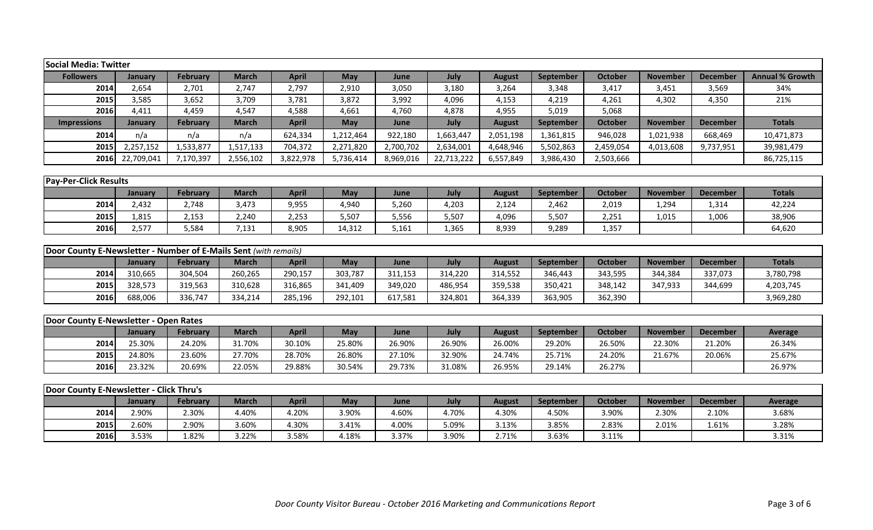| <b>Social Media: Twitter</b>                                     |            |                 |              |              |            |           |            |               |                  |                |                 |                 |                        |
|------------------------------------------------------------------|------------|-----------------|--------------|--------------|------------|-----------|------------|---------------|------------------|----------------|-----------------|-----------------|------------------------|
| <b>Followers</b>                                                 | January    | <b>February</b> | <b>March</b> | <b>April</b> | May        | June      | July       | <b>August</b> | September        | <b>October</b> | <b>November</b> | <b>December</b> | <b>Annual % Growth</b> |
| 2014                                                             | 2,654      | 2,701           | 2,747        | 2,797        | 2,910      | 3,050     | 3,180      | 3,264         | 3,348            | 3,417          | 3,451           | 3,569           | 34%                    |
| 2015                                                             | 3,585      | 3,652           | 3,709        | 3,781        | 3,872      | 3,992     | 4,096      | 4,153         | 4,219            | 4,261          | 4,302           | 4,350           | 21%                    |
| 2016                                                             | 4,411      | 4,459           | 4,547        | 4,588        | 4,661      | 4,760     | 4,878      | 4,955         | 5,019            | 5,068          |                 |                 |                        |
| <b>Impressions</b>                                               | January    | <b>February</b> | <b>March</b> | <b>April</b> | <b>May</b> | June      | July       | <b>August</b> | <b>September</b> | October        | <b>November</b> | <b>December</b> | <b>Totals</b>          |
| 2014                                                             | n/a        | n/a             | n/a          | 624,334      | 1,212,464  | 922,180   | 1,663,447  | 2,051,198     | 1,361,815        | 946,028        | 1,021,938       | 668,469         | 10,471,873             |
| 2015                                                             | 2,257,152  | 1,533,877       | 1,517,133    | 704,372      | 2,271,820  | 2,700,702 | 2,634,001  | 4,648,946     | 5,502,863        | 2,459,054      | 4,013,608       | 9,737,951       | 39,981,479             |
| 2016                                                             | 22,709,041 | 7,170,397       | 2,556,102    | 3,822,978    | 5,736,414  | 8,969,016 | 22,713,222 | 6,557,849     | 3,986,430        | 2,503,666      |                 |                 | 86,725,115             |
|                                                                  |            |                 |              |              |            |           |            |               |                  |                |                 |                 |                        |
| <b>Pay-Per-Click Results</b>                                     |            |                 |              |              |            |           |            |               |                  |                |                 |                 |                        |
|                                                                  | January    | <b>February</b> | <b>March</b> | <b>April</b> | May        | June      | July       | <b>August</b> | September        | <b>October</b> | <b>November</b> | <b>December</b> | <b>Totals</b>          |
| 2014                                                             | 2,432      | 2,748           | 3,473        | 9,955        | 4,940      | 5,260     | 4,203      | 2,124         | 2,462            | 2,019          | 1,294           | 1,314           | 42,224                 |
| 2015                                                             | 1,815      | 2,153           | 2,240        | 2,253        | 5,507      | 5,556     | 5,507      | 4,096         | 5,507            | 2,251          | 1,015           | 1,006           | 38,906                 |
| 2016                                                             | 2,577      | 5,584           | 7,131        | 8,905        | 14,312     | 5,161     | 1,365      | 8,939         | 9,289            | 1,357          |                 |                 | 64,620                 |
|                                                                  |            |                 |              |              |            |           |            |               |                  |                |                 |                 |                        |
| Door County E-Newsletter - Number of E-Mails Sent (with remails) |            |                 |              |              |            |           |            |               |                  |                |                 |                 |                        |
|                                                                  | January    | <b>February</b> | <b>March</b> | <b>April</b> | May        | June      | July       | <b>August</b> | September        | <b>October</b> | <b>November</b> | <b>December</b> | <b>Totals</b>          |
| 2014                                                             | 310,665    | 304,504         | 260,265      | 290,157      | 303,787    | 311,153   | 314,220    | 314,552       | 346,443          | 343,595        | 344,384         | 337,073         | 3,780,798              |
| 2015                                                             | 328,573    | 319,563         | 310,628      | 316,865      | 341,409    | 349,020   | 486,954    | 359,538       | 350,421          | 348,142        | 347,933         | 344,699         | 4,203,745              |
| 2016                                                             | 688,006    | 336,747         | 334,214      | 285,196      | 292,101    | 617,581   | 324,801    | 364,339       | 363,905          | 362,390        |                 |                 | 3,969,280              |
|                                                                  |            |                 |              |              |            |           |            |               |                  |                |                 |                 |                        |
| Door County E-Newsletter - Open Rates                            |            |                 |              |              |            |           |            |               |                  |                |                 |                 |                        |
|                                                                  | January    | <b>February</b> | <b>March</b> | <b>April</b> | May        | June      | July       | <b>August</b> | September        | <b>October</b> | <b>November</b> | <b>December</b> | <b>Average</b>         |
| 2014                                                             | 25.30%     | 24.20%          | 31.70%       | 30.10%       | 25.80%     | 26.90%    | 26.90%     | 26.00%        | 29.20%           | 26.50%         | 22.30%          | 21.20%          | 26.34%                 |
| 2015                                                             | 24.80%     | 23.60%          | 27.70%       | 28.70%       | 26.80%     | 27.10%    | 32.90%     | 24.74%        | 25.71%           | 24.20%         | 21.67%          | 20.06%          | 25.67%                 |
| 2016                                                             | 23.32%     | 20.69%          | 22.05%       | 29.88%       | 30.54%     | 29.73%    | 31.08%     | 26.95%        | 29.14%           | 26.27%         |                 |                 | 26.97%                 |
|                                                                  |            |                 |              |              |            |           |            |               |                  |                |                 |                 |                        |
| Door County E-Newsletter - Click Thru's                          |            |                 |              |              |            |           |            |               |                  |                |                 |                 |                        |
|                                                                  | January    | February        | <b>March</b> | <b>April</b> | May        | June      | July       | <b>August</b> | <b>September</b> | <b>October</b> | <b>November</b> | <b>December</b> | <b>Average</b>         |
| 2014                                                             | 2.90%      | 2.30%           | 4.40%        | 4.20%        | 3.90%      | 4.60%     | 4.70%      | 4.30%         | 4.50%            | 3.90%          | 2.30%           | 2.10%           | 3.68%                  |

**2015** 2.60% 2.90% 3.60% 4.30% 3.41% 4.00% 5.09% 3.13% 3.85% 2.83% 2.01% 1.61% 3.28% **2016**| 3.53% | 1.82% | 3.22% | 3.58% | 4.18% | 3.37% | 3.90% | 2.71% | 3.63% | 3.11% | | | 3.31%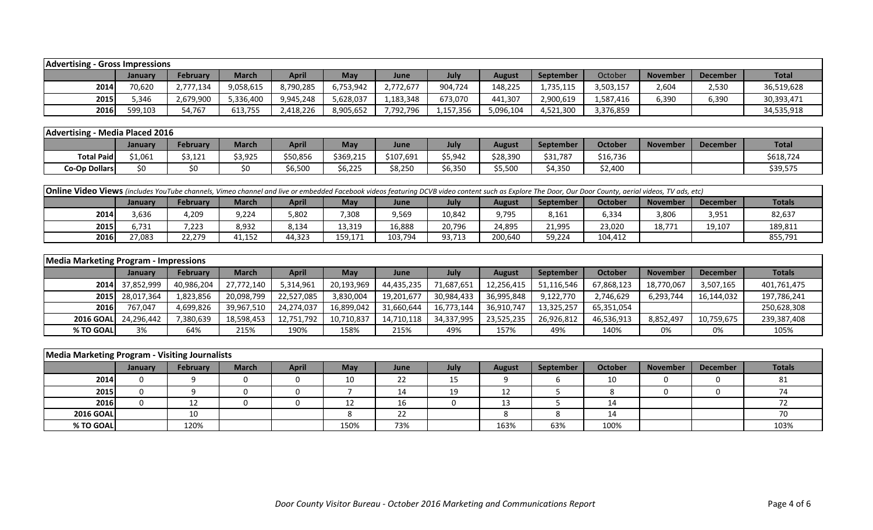| <b>Advertising - Gross Impressions</b> |         |           |              |              |            |           |           |               |                  |           |                 |          |              |
|----------------------------------------|---------|-----------|--------------|--------------|------------|-----------|-----------|---------------|------------------|-----------|-----------------|----------|--------------|
|                                        | January | February  | <b>March</b> | <b>April</b> | <b>May</b> | June      | July      | <b>August</b> | <b>September</b> | October   | <b>November</b> | December | <b>Total</b> |
| 2014                                   | 70,620  | 2,777,134 | 9,058,615    | 8,790,285    | 6,753,942  | 2,772,677 | 904,724   | 148,225       | 1,735,115        | 3,503,157 | 2,604           | 2,530    | 36,519,628   |
| 2015                                   | 5,346   | 2,679,900 | 5,336,400    | 9,945,248    | 5,628,037  | 1,183,348 | 673,070   | 441,307       | 2,900,619        | .,587,416 | 6,390           | 6,390    | 30,393,471   |
| 2016                                   | 599,103 | 54,767    | 613,755      | 2,418,226    | 8,905,652  | 7,792,796 | 1,157,356 | 5,096,104     | 4,521,300        | 3,376,859 |                 |          | 34,535,918   |

|                      | Advertising - Media Placed 2016 |                 |              |              |           |           |                          |          |                  |                |                 |                 |              |  |
|----------------------|---------------------------------|-----------------|--------------|--------------|-----------|-----------|--------------------------|----------|------------------|----------------|-----------------|-----------------|--------------|--|
|                      | <b>January</b>                  | <b>February</b> | <b>March</b> | <b>April</b> | May       | June      | July                     | August   | <b>September</b> | <b>October</b> | <b>November</b> | <b>December</b> | <b>Total</b> |  |
| <b>Total Paid</b>    | \$1,061                         | \$3,121         | \$3,925      | \$50,856     | \$369,215 | \$107,691 | \$5,942                  | \$28,390 | \$31,787         | \$16,736       |                 |                 | \$618,724    |  |
| <b>Co-Op Dollars</b> |                                 |                 |              | 6,500        | \$6,225   | \$8,250   | * <i>*</i> ***<br>56,35U | 55,500   | 4,350            | \$2,400        |                 |                 | \$39,575     |  |

| Online Video Views (includes YouTube channels, Vimeo channel and live or embedded Facebook videos featuring DCVB video content such as Explore The Door, Our Door County, aerial videos, TV ads, etc) |        |        |        |        |         |         |        |         |        |         |        |        |         |
|-------------------------------------------------------------------------------------------------------------------------------------------------------------------------------------------------------|--------|--------|--------|--------|---------|---------|--------|---------|--------|---------|--------|--------|---------|
| April<br>July<br>February<br><b>Totals</b><br>October<br><b>March</b><br><b>September</b><br>May<br><b>November</b><br><b>December</b><br>August<br>June<br><b>January</b>                            |        |        |        |        |         |         |        |         |        |         |        |        |         |
| 2014                                                                                                                                                                                                  | 3,636  | 4,209  | 9,224  | 5,802  | ,308    | 9,569   | 10,842 | 9,795   | 8,161  | 6,334   | 3,806  | 3,951  | 82,637  |
| 2015                                                                                                                                                                                                  | 6.731  | 7,223  | 8,932  | 8,134  | 13,319  | 16,888  | 20,796 | 24,895  | 21,995 | 23,020  | 18,771 | 19,107 | 189,811 |
| 2016                                                                                                                                                                                                  | 27,083 | 22,279 | 11,152 | 44,323 | 159,171 | 103,794 | 93,713 | 200,640 | 59,224 | 104,412 |        |        | 855,791 |

|                   | <b>Media Marketing Program - Impressions</b> |                 |            |            |            |            |            |               |                  |                |                 |                 |             |  |
|-------------------|----------------------------------------------|-----------------|------------|------------|------------|------------|------------|---------------|------------------|----------------|-----------------|-----------------|-------------|--|
|                   | <b>January</b>                               | <b>February</b> | March      | April      | <b>May</b> | June       | July       | <b>August</b> | <b>September</b> | <b>October</b> | <b>November</b> | <b>December</b> | Totals      |  |
|                   | 2014 37,852,999                              | 40,986,204      | 27,772,140 | 5,314,961  | 20,193,969 | 44,435,235 | 71,687,651 | 12,256,415    | 51,116,546       | 67,868,123     | 18,770,067      | 3,507,165       | 401,761,475 |  |
|                   | 2015 28,017,364                              | 1,823,856       | 20,098,799 | 22,527,085 | 3,830,004  | 19,201,677 | 30,984,433 | 36,995,848    | 9,122,770        | 2,746,629      | 6,293,744       | 16,144,032      | 197,786,241 |  |
| <b>2016</b>       | 767,047                                      | 4,699,826       | 39,967,510 | 24,274,037 | 16,899,042 | 31,660,644 | 16,773,144 | 36,910,747    | 13,325,257       | 65,351,054     |                 |                 | 250,628,308 |  |
| <b>2016 GOALL</b> | 24,296,442                                   | 7,380,639       | 18,598,453 | 12,751,792 | 10,710,837 | 14,710,118 | 34,337,995 | 23,525,235    | 26,926,812       | 46,536,913     | 8,852,497       | 10,759,675      | 239,387,408 |  |
| % TO GOAL         | 3%                                           | 64%             | 215%       | 190%       | 158%       | 215%       | 49%        | 157%          | 49%              | 140%           | 0%              | 0%              | 105%        |  |

| Media Marketing Program - Visiting Journalists |         |                 |              |              |      |             |      |               |           |         |                 |          |               |
|------------------------------------------------|---------|-----------------|--------------|--------------|------|-------------|------|---------------|-----------|---------|-----------------|----------|---------------|
|                                                | January | <b>February</b> | <b>March</b> | <b>April</b> | May  | <b>June</b> | July | <b>August</b> | September | October | <b>November</b> | December | <b>Totals</b> |
| 2014                                           |         |                 |              |              | 10   | 22          | 15   |               |           | 10      |                 |          |               |
| 2015                                           |         |                 |              |              |      | 14          | 19   | 12            |           |         |                 |          |               |
| 2016                                           |         | 12<br>ᅩᄼ        |              |              | ∸∸   | 16          |      | 13            |           | 14      |                 |          |               |
| <b>2016 GOAL</b>                               |         | 10              |              |              |      | 22          |      |               |           | 14      |                 |          |               |
| % TO GOAL                                      |         | 120%            |              |              | 150% | 73%         |      | 163%          | 63%       | 100%    |                 |          | 103%          |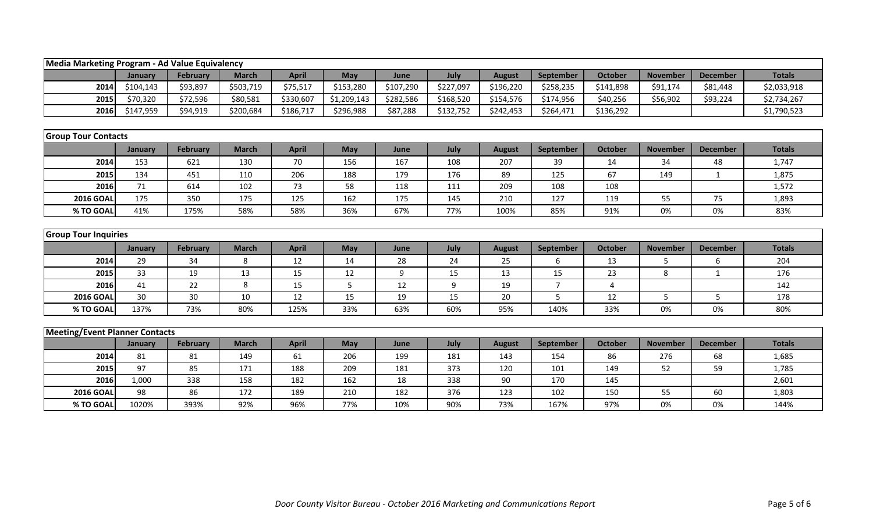|                                       | Media Marketing Program - Ad Value Equivalency |                 |              |              |             |           |           |               |                |                |                 |                 |               |  |
|---------------------------------------|------------------------------------------------|-----------------|--------------|--------------|-------------|-----------|-----------|---------------|----------------|----------------|-----------------|-----------------|---------------|--|
|                                       | January                                        | <b>February</b> | <b>March</b> | <b>April</b> | May         | June      | July      | <b>August</b> | September      | <b>October</b> | <b>November</b> | <b>December</b> | <b>Totals</b> |  |
| 2014                                  | \$104,143                                      | \$93,897        | \$503,719    | \$75,517     | \$153,280   | \$107,290 | \$227,097 | \$196,220     | \$258,235      | \$141,898      | \$91,174        | \$81,448        | \$2,033,918   |  |
| 2015                                  | \$70,320                                       | \$72,596        | \$80,581     | \$330,607    | \$1,209,143 | \$282,586 | \$168,520 | \$154,576     | \$174,956      | \$40,256       | \$56,902        | \$93,224        | \$2,734,267   |  |
| 2016                                  | \$147,959                                      | \$94,919        | \$200,684    | \$186,717    | \$296,988   | \$87,288  | \$132,752 | \$242,453     | \$264,471      | \$136,292      |                 |                 | \$1,790,523   |  |
|                                       |                                                |                 |              |              |             |           |           |               |                |                |                 |                 |               |  |
| <b>Group Tour Contacts</b>            |                                                |                 |              |              |             |           |           |               |                |                |                 |                 |               |  |
|                                       | January                                        | February        | <b>March</b> | <b>April</b> | May         | June      | July      | <b>August</b> | September      | <b>October</b> | <b>November</b> | <b>December</b> | <b>Totals</b> |  |
| 2014                                  | 153                                            | 621             | 130          | 70           | 156         | 167       | 108       | 207           | 39             | 14             | 34              | 48              | 1,747         |  |
| 2015                                  | 134                                            | 451             | 110          | 206          | 188         | 179       | 176       | 89            | 125            | 67             | 149             | 1               | 1,875         |  |
| 2016                                  | 71                                             | 614             | 102          | 73           | 58          | 118       | 111       | 209           | 108            | 108            |                 |                 | 1,572         |  |
| <b>2016 GOAI</b>                      | 175                                            | 350             | 175          | 125          | 162         | 175       | 145       | 210           | 127            | 119            | 55              | 75              | 1,893         |  |
| % TO GOAL                             | 41%                                            | 175%            | 58%          | 58%          | 36%         | 67%       | 77%       | 100%          | 85%            | 91%            | 0%              | 0%              | 83%           |  |
|                                       |                                                |                 |              |              |             |           |           |               |                |                |                 |                 |               |  |
| <b>Group Tour Inquiries</b>           |                                                |                 |              |              |             |           |           |               |                |                |                 |                 |               |  |
|                                       | January                                        | <b>February</b> | <b>March</b> | <b>April</b> | May         | June      | July      | <b>August</b> | September      | <b>October</b> | <b>November</b> | <b>December</b> | <b>Totals</b> |  |
| 2014                                  | 29                                             | 34              | 8            | 12           | 14          | 28        | 24        | 25            | 6              | 13             | 5               | 6               | 204           |  |
| 2015                                  | 33                                             | 19              | 13           | 15           | 12          | 9         | 15        | 13            | 15             | 23             | 8               | $\mathbf{1}$    | 176           |  |
| 2016                                  | 41                                             | 22              | 8            | 15           | 5           | 12        | 9         | 19            | $\overline{7}$ | 4              |                 |                 | 142           |  |
| <b>2016 GOAL</b>                      | 30                                             | 30              | 10           | 12           | 15          | 19        | 15        | 20            | 5              | 12             | 5               | 5               | 178           |  |
| % TO GOAL                             | 137%                                           | 73%             | 80%          | 125%         | 33%         | 63%       | 60%       | 95%           | 140%           | 33%            | 0%              | 0%              | 80%           |  |
|                                       |                                                |                 |              |              |             |           |           |               |                |                |                 |                 |               |  |
| <b>Meeting/Event Planner Contacts</b> |                                                |                 |              |              |             |           |           |               |                |                |                 |                 |               |  |
|                                       | January                                        | <b>February</b> | <b>March</b> | <b>April</b> | May         | June      | July      | <b>August</b> | September      | <b>October</b> | <b>November</b> | <b>December</b> | <b>Totals</b> |  |
| 2014                                  | 81                                             | 81              | 149          | 61           | 206         | 199       | 181       | 143           | 154            | 86             | 276             | 68              | 1,685         |  |
| 2015                                  | 97                                             | 85              | 171          | 188          | 209         | 181       | 373       | 120           | 101            | 149            | 52              | 59              | 1,785         |  |
| 2016                                  | 1,000                                          | 338             | 158          | 182          | 162         | 18        | 338       | 90            | 170            | 145            |                 |                 | 2,601         |  |
| <b>2016 GOAL</b>                      | 98                                             | 86              | 172          | 189          | 210         | 182       | 376       | 123           | 102            | 150            | 55              | 60              | 1,803         |  |
| % TO GOAL                             | 1020%                                          | 393%            | 92%          | 96%          | 77%         | 10%       | 90%       | 73%           | 167%           | 97%            | 0%              | 0%              | 144%          |  |